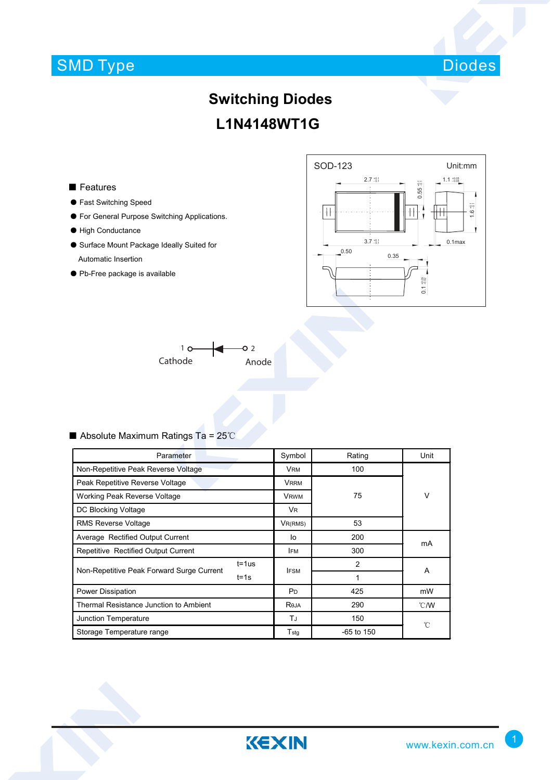# SMD Type



### **Switching Diodes L1N4148WT1G**

### ■ Features

- Fast Switching Speed
- For General Purpose Switching Applications.
- High Conductance
- Surface Mount Package Ideally Suited for Automatic Insertion
- Pb-Free package is available





### ■ Absolute Maximum Ratings Ta = 25℃

| Parameter                                 |            | Symbol         | Rating         | Unit           |  |
|-------------------------------------------|------------|----------------|----------------|----------------|--|
| Non-Repetitive Peak Reverse Voltage       |            | VRM            | 100            |                |  |
| Peak Repetitive Reverse Voltage           |            | <b>VRRM</b>    |                |                |  |
| Working Peak Reverse Voltage              |            | <b>VRWM</b>    | 75             | V              |  |
| DC Blocking Voltage                       |            | <b>VR</b>      |                |                |  |
| <b>RMS Reverse Voltage</b>                |            | VR(RMS)        | 53             |                |  |
| Average Rectified Output Current          |            | l٥             | 200            | mA             |  |
| Repetitive Rectified Output Current       |            | <b>IFM</b>     | 300            |                |  |
| Non-Repetitive Peak Forward Surge Current | $t = 1$ us | <b>IFSM</b>    | $\overline{2}$ | A              |  |
|                                           | $t = 1s$   |                | 1              |                |  |
| Power Dissipation                         |            | P <sub>D</sub> | 425            | mW             |  |
| Thermal Resistance Junction to Ambient    |            | Reja           | 290            | $^{\circ}$ C/W |  |
| Junction Temperature                      |            | TJ             | 150            | °C             |  |
| Storage Temperature range                 |            | $T_{\rm stg}$  | $-65$ to 150   |                |  |